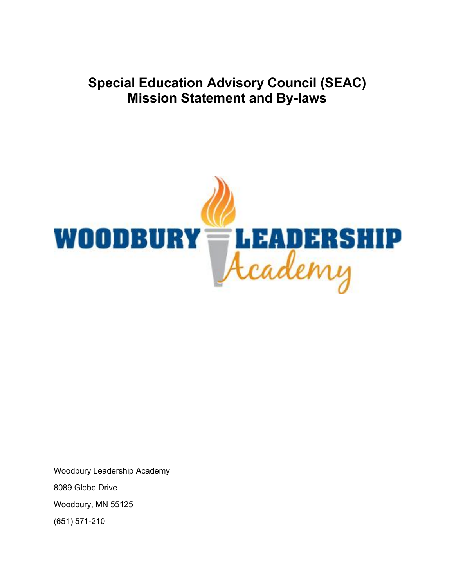**Special Education Advisory Council (SEAC) Mission Statement and By-laws**



Woodbury Leadership Academy 8089 Globe Drive Woodbury, MN 55125 (651) 571-210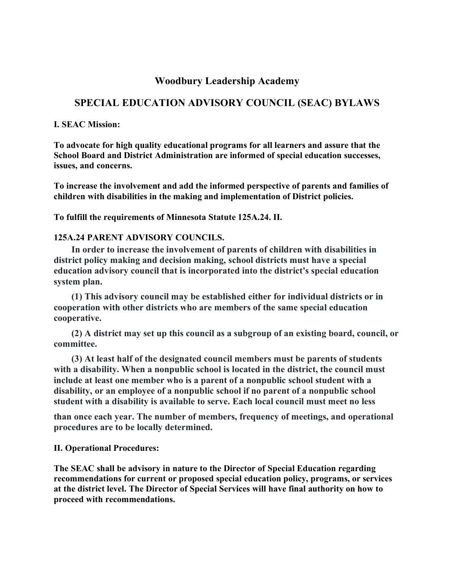## **Woodbury Leadership Academy**

# **SPECIAL EDUCATION ADVISORY COUNCIL (SEAC) BYLAWS**

#### **I. SEAC Mission:**

**To advocate for high quality educational programs for all learners and assure that the School Board and District Administration are informed of special education successes, issues, and concerns.**

**To increase the involvement and add the informed perspective of parents and families of children with disabilities in the making and implementation of District policies.**

**To fulfill the requirements of Minnesota Statute 125A.24. II.**

#### **125A.24 PARENT ADVISORY COUNCILS.**

**In order to increase the involvement of parents of children with disabilities in district policy making and decision making, school districts must have a special education advisory council that is incorporated into the district's special education system plan.**

**(1) This advisory council may be established either for individual districts or in cooperation with other districts who are members of the same special education cooperative.**

**(2) A district may set up this council as a subgroup of an existing board, council, or committee.**

**(3) At least half of the designated council members must be parents of students with a disability. When a nonpublic school is located in the district, the council must include at least one member who is a parent of a nonpublic school student with a disability, or an employee of a nonpublic school if no parent of a nonpublic school student with a disability is available to serve. Each local council must meet no less**

**than once each year. The number of members, frequency of meetings, and operational procedures are to be locally determined.**

### **II. Operational Procedures:**

**The SEAC shall be advisory in nature to the Director of Special Education regarding recommendations for current or proposed special education policy, programs, or services at the district level. The Director of Special Services will have final authority on how to proceed with recommendations.**